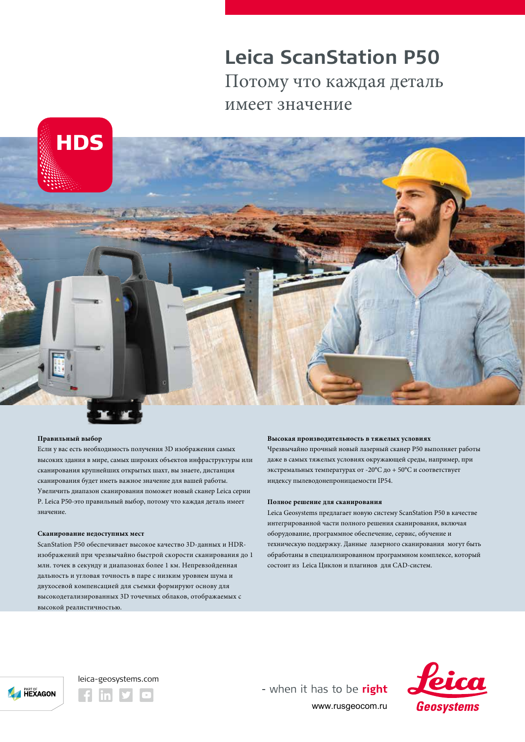# **Leica ScanStation P50** Потому что каждая деталь имеет значение





### **Правильный выбор**

Если у вас есть необходимость получения 3D изображения самых высоких здания в мире, самых широких объектов инфраструктуры или сканирования крупнейших открытых шахт, вы знаете, дистанция сканирования будет иметь важное значение для вашей работы. Увеличить диапазон сканирования поможет новый сканер Leica серии P. Leica Р50-это правильный выбор, потому что каждая деталь имеет значение.

### **Сканирование недоступных мест**

ScanStation P50 обеспечивает высокое качество 3D-данных и HDRизображений при чрезвычайно быстрой скорости сканирования до 1 млн. точек в секунду и диапазонах более 1 км. Непревзойденная дальность и угловая точность в паре с низким уровнем шума и двухосевой компенсацией для съемки формируют основу для высокодетализированных 3D точечных облаков, отображаемых с высокой реалистичностью.

### **Высокая производительность в тяжелых условиях**

Чрезвычайно прочный новый лазерный сканер Р50 выполняет работы даже в самых тяжелых условиях окружающей среды, например, при экстремальных температурах от -20°C до + 50°C и соответствует индексу пылеводонепроницаемости IP54.

### **Полное решение для сканирования**

Leica Geosystems предлагает новую систему ScanStation P50 в качестве интегрированной части полного решения сканирования, включая оборудование, программное обеспечение, сервис, обучение и техническую поддержку. Данные лазерного сканирования могут быть обработаны в специализированном программном комплексе, который состоит из Leica Циклон и плагинов для CAD-систем.



## leica-geosystems.com

- when it has to be right www.rusgeocom.ru